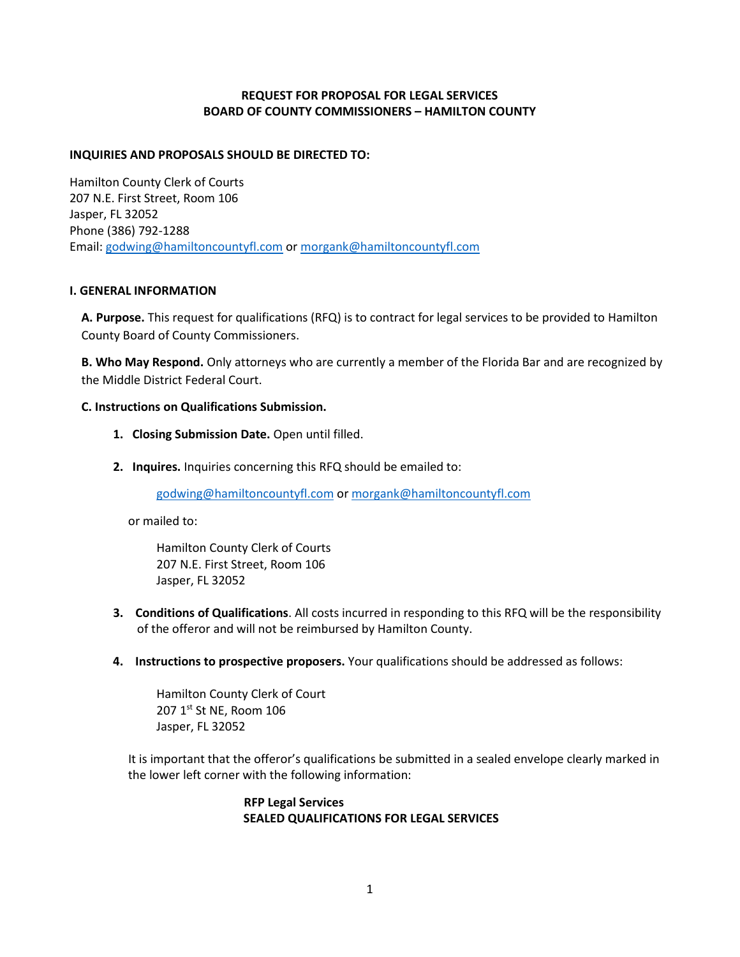# **REQUEST FOR PROPOSAL FOR LEGAL SERVICES BOARD OF COUNTY COMMISSIONERS – HAMILTON COUNTY**

## **INQUIRIES AND PROPOSALS SHOULD BE DIRECTED TO:**

Hamilton County Clerk of Courts 207 N.E. First Street, Room 106 Jasper, FL 32052 Phone (386) 792-1288 Email[: godwing@hamiltoncountyfl.com](mailto:godwing@hamiltoncountyfl.com) or [morgank@hamiltoncountyfl.com](mailto:morgank@hamiltoncountyfl.com) 

#### **I. GENERAL INFORMATION**

**A. Purpose.** This request for qualifications (RFQ) is to contract for legal services to be provided to Hamilton County Board of County Commissioners.

**B. Who May Respond.** Only attorneys who are currently a member of the Florida Bar and are recognized by the Middle District Federal Court.

### **C. Instructions on Qualifications Submission.**

- **1. Closing Submission Date.** Open until filled.
- **2. Inquires.** Inquiries concerning this RFQ should be emailed to:

[godwing@hamiltoncountyfl.com](mailto:godwing@hamiltoncountyfl.com) or [morgank@hamiltoncountyfl.com](mailto:morgank@hamiltoncountyfl.com) 

or mailed to:

Hamilton County Clerk of Courts 207 N.E. First Street, Room 106 Jasper, FL 32052

- **3. Conditions of Qualifications**. All costs incurred in responding to this RFQ will be the responsibility of the offeror and will not be reimbursed by Hamilton County.
- **4. Instructions to prospective proposers.** Your qualifications should be addressed as follows:

Hamilton County Clerk of Court 207 1st St NE, Room 106 Jasper, FL 32052

 It is important that the offeror's qualifications be submitted in a sealed envelope clearly marked in the lower left corner with the following information:

# **RFP Legal Services SEALED QUALIFICATIONS FOR LEGAL SERVICES**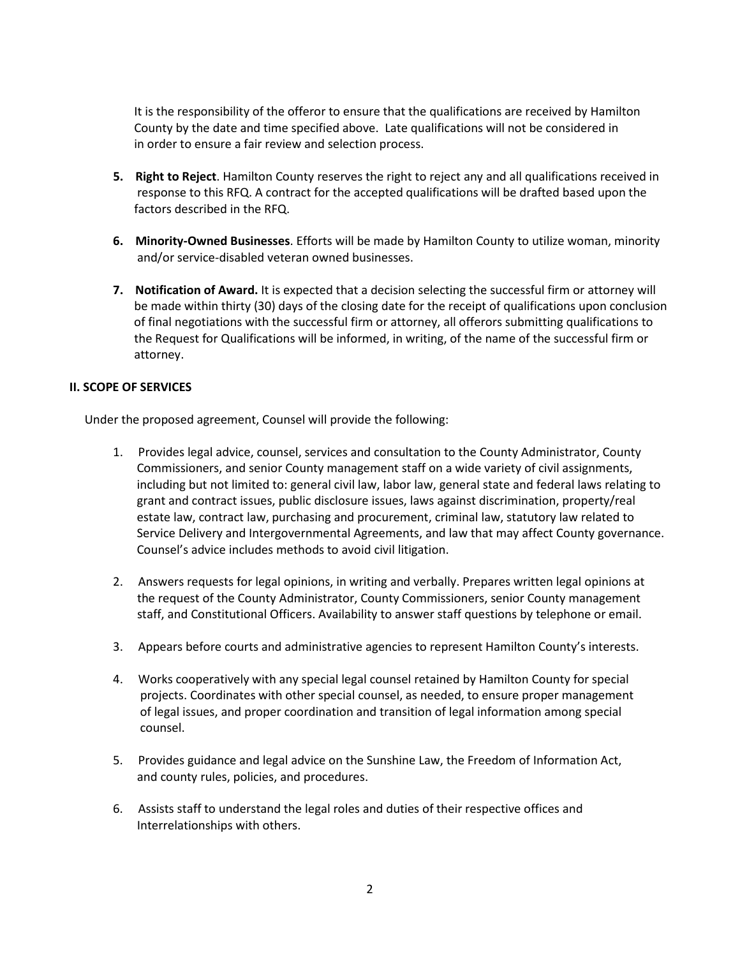It is the responsibility of the offeror to ensure that the qualifications are received by Hamilton County by the date and time specified above. Late qualifications will not be considered in in order to ensure a fair review and selection process.

- **5. Right to Reject**. Hamilton County reserves the right to reject any and all qualifications received in response to this RFQ. A contract for the accepted qualifications will be drafted based upon the factors described in the RFQ.
- **6. Minority-Owned Businesses**. Efforts will be made by Hamilton County to utilize woman, minority and/or service-disabled veteran owned businesses.
- **7. Notification of Award.** It is expected that a decision selecting the successful firm or attorney will be made within thirty (30) days of the closing date for the receipt of qualifications upon conclusion of final negotiations with the successful firm or attorney, all offerors submitting qualifications to the Request for Qualifications will be informed, in writing, of the name of the successful firm or attorney.

### **II. SCOPE OF SERVICES**

Under the proposed agreement, Counsel will provide the following:

- 1. Provides legal advice, counsel, services and consultation to the County Administrator, County Commissioners, and senior County management staff on a wide variety of civil assignments, including but not limited to: general civil law, labor law, general state and federal laws relating to grant and contract issues, public disclosure issues, laws against discrimination, property/real estate law, contract law, purchasing and procurement, criminal law, statutory law related to Service Delivery and Intergovernmental Agreements, and law that may affect County governance. Counsel's advice includes methods to avoid civil litigation.
- 2. Answers requests for legal opinions, in writing and verbally. Prepares written legal opinions at the request of the County Administrator, County Commissioners, senior County management staff, and Constitutional Officers. Availability to answer staff questions by telephone or email.
- 3. Appears before courts and administrative agencies to represent Hamilton County's interests.
- 4. Works cooperatively with any special legal counsel retained by Hamilton County for special projects. Coordinates with other special counsel, as needed, to ensure proper management of legal issues, and proper coordination and transition of legal information among special counsel.
- 5. Provides guidance and legal advice on the Sunshine Law, the Freedom of Information Act, and county rules, policies, and procedures.
- 6. Assists staff to understand the legal roles and duties of their respective offices and Interrelationships with others.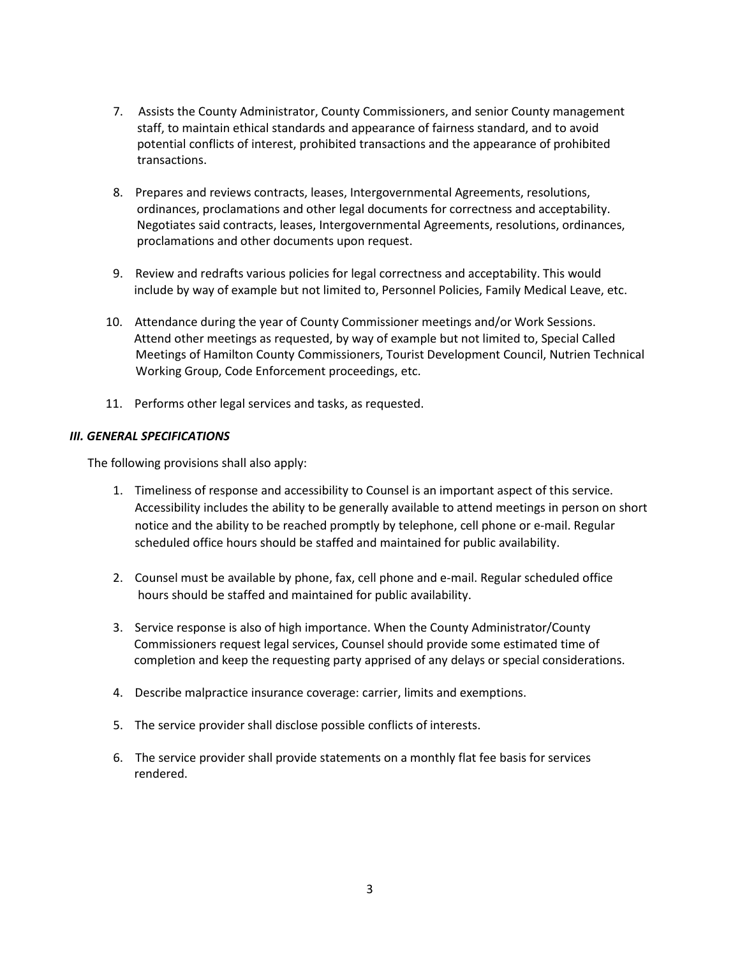- 7. Assists the County Administrator, County Commissioners, and senior County management staff, to maintain ethical standards and appearance of fairness standard, and to avoid potential conflicts of interest, prohibited transactions and the appearance of prohibited transactions.
- 8. Prepares and reviews contracts, leases, Intergovernmental Agreements, resolutions, ordinances, proclamations and other legal documents for correctness and acceptability. Negotiates said contracts, leases, Intergovernmental Agreements, resolutions, ordinances, proclamations and other documents upon request.
- 9. Review and redrafts various policies for legal correctness and acceptability. This would include by way of example but not limited to, Personnel Policies, Family Medical Leave, etc.
- 10. Attendance during the year of County Commissioner meetings and/or Work Sessions. Attend other meetings as requested, by way of example but not limited to, Special Called Meetings of Hamilton County Commissioners, Tourist Development Council, Nutrien Technical Working Group, Code Enforcement proceedings, etc.
- 11. Performs other legal services and tasks, as requested.

### *III. GENERAL SPECIFICATIONS*

The following provisions shall also apply:

- 1. Timeliness of response and accessibility to Counsel is an important aspect of this service. Accessibility includes the ability to be generally available to attend meetings in person on short notice and the ability to be reached promptly by telephone, cell phone or e-mail. Regular scheduled office hours should be staffed and maintained for public availability.
- 2. Counsel must be available by phone, fax, cell phone and e-mail. Regular scheduled office hours should be staffed and maintained for public availability.
- 3. Service response is also of high importance. When the County Administrator/County Commissioners request legal services, Counsel should provide some estimated time of completion and keep the requesting party apprised of any delays or special considerations.
- 4. Describe malpractice insurance coverage: carrier, limits and exemptions.
- 5. The service provider shall disclose possible conflicts of interests.
- 6. The service provider shall provide statements on a monthly flat fee basis for services rendered.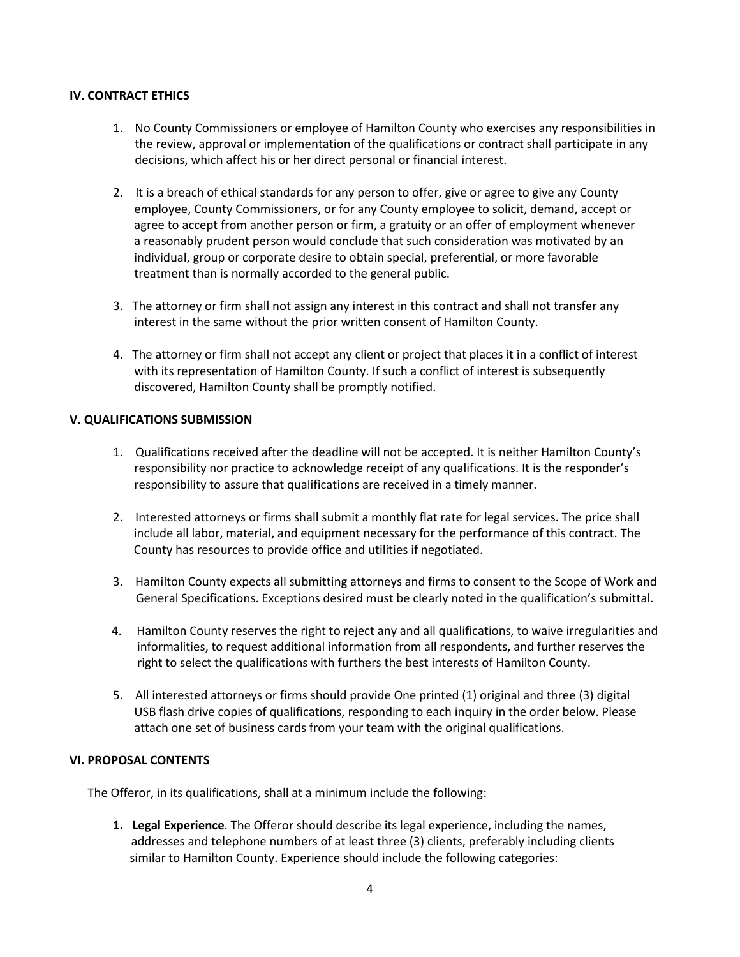## **IV. CONTRACT ETHICS**

- 1. No County Commissioners or employee of Hamilton County who exercises any responsibilities in the review, approval or implementation of the qualifications or contract shall participate in any decisions, which affect his or her direct personal or financial interest.
- 2. It is a breach of ethical standards for any person to offer, give or agree to give any County employee, County Commissioners, or for any County employee to solicit, demand, accept or agree to accept from another person or firm, a gratuity or an offer of employment whenever a reasonably prudent person would conclude that such consideration was motivated by an individual, group or corporate desire to obtain special, preferential, or more favorable treatment than is normally accorded to the general public.
- 3. The attorney or firm shall not assign any interest in this contract and shall not transfer any interest in the same without the prior written consent of Hamilton County.
- 4. The attorney or firm shall not accept any client or project that places it in a conflict of interest with its representation of Hamilton County. If such a conflict of interest is subsequently discovered, Hamilton County shall be promptly notified.

## **V. QUALIFICATIONS SUBMISSION**

- 1. Qualifications received after the deadline will not be accepted. It is neither Hamilton County's responsibility nor practice to acknowledge receipt of any qualifications. It is the responder's responsibility to assure that qualifications are received in a timely manner.
- 2. Interested attorneys or firms shall submit a monthly flat rate for legal services. The price shall include all labor, material, and equipment necessary for the performance of this contract. The County has resources to provide office and utilities if negotiated.
- 3. Hamilton County expects all submitting attorneys and firms to consent to the Scope of Work and General Specifications. Exceptions desired must be clearly noted in the qualification's submittal.
- 4. Hamilton County reserves the right to reject any and all qualifications, to waive irregularities and informalities, to request additional information from all respondents, and further reserves the right to select the qualifications with furthers the best interests of Hamilton County.
- 5. All interested attorneys or firms should provide One printed (1) original and three (3) digital USB flash drive copies of qualifications, responding to each inquiry in the order below. Please attach one set of business cards from your team with the original qualifications.

#### **VI. PROPOSAL CONTENTS**

The Offeror, in its qualifications, shall at a minimum include the following:

**1. Legal Experience**. The Offeror should describe its legal experience, including the names, addresses and telephone numbers of at least three (3) clients, preferably including clients similar to Hamilton County. Experience should include the following categories: